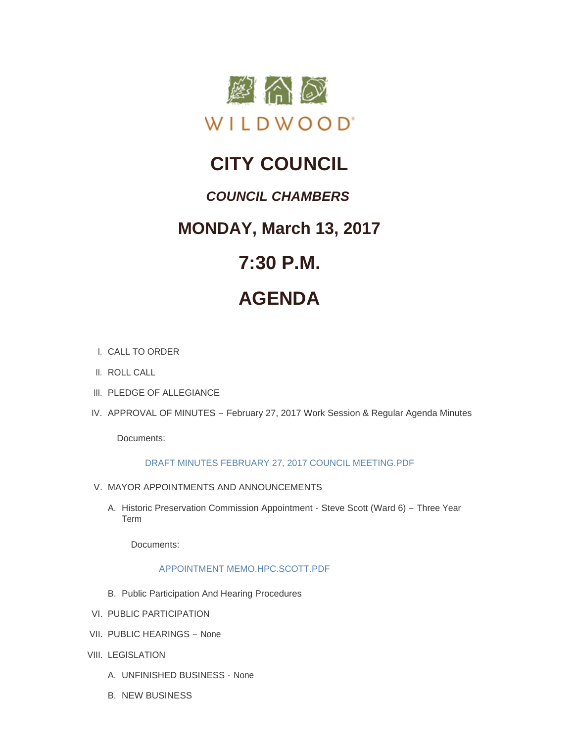

# **CITY COUNCIL**

### *COUNCIL CHAMBERS*

## **MONDAY, March 13, 2017**

# **7:30 P.M.**

# **AGENDA**

- CALL TO ORDER I.
- II. ROLL CALL
- III. PLEDGE OF ALLEGIANCE
- IV. APPROVAL OF MINUTES February 27, 2017 Work Session & Regular Agenda Minutes

Documents:

### [DRAFT MINUTES FEBRUARY 27, 2017 COUNCIL MEETING.PDF](http://cityofwildwood.com/AgendaCenter/ViewFile/Item/10058?fileID=14414)

- V. MAYOR APPOINTMENTS AND ANNOUNCEMENTS
	- A. Historic Preservation Commission Appointment Steve Scott (Ward 6) Three Year Term

Documents:

### [APPOINTMENT MEMO.HPC.SCOTT.PDF](http://cityofwildwood.com/AgendaCenter/ViewFile/Item/10060?fileID=14467)

- B. Public Participation And Hearing Procedures
- VI. PUBLIC PARTICIPATION
- VII. PUBLIC HEARINGS None
- VIII. LEGISLATION
	- UNFINISHED BUSINESS None A.
	- **B. NEW BUSINESS**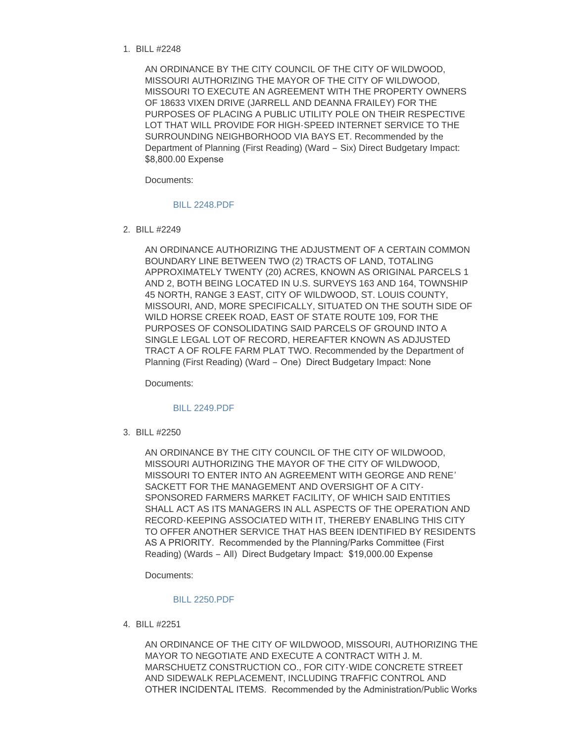#### BILL #2248 1.

AN ORDINANCE BY THE CITY COUNCIL OF THE CITY OF WILDWOOD, MISSOURI AUTHORIZING THE MAYOR OF THE CITY OF WILDWOOD, MISSOURI TO EXECUTE AN AGREEMENT WITH THE PROPERTY OWNERS OF 18633 VIXEN DRIVE (JARRELL AND DEANNA FRAILEY) FOR THE PURPOSES OF PLACING A PUBLIC UTILITY POLE ON THEIR RESPECTIVE LOT THAT WILL PROVIDE FOR HIGH-SPEED INTERNET SERVICE TO THE SURROUNDING NEIGHBORHOOD VIA BAYS ET. Recommended by the Department of Planning (First Reading) (Ward – Six) Direct Budgetary Impact: \$8,800.00 Expense

Documents:

#### [BILL 2248.PDF](http://cityofwildwood.com/AgendaCenter/ViewFile/Item/10067?fileID=14415)

BILL #2249 2.

AN ORDINANCE AUTHORIZING THE ADJUSTMENT OF A CERTAIN COMMON BOUNDARY LINE BETWEEN TWO (2) TRACTS OF LAND, TOTALING APPROXIMATELY TWENTY (20) ACRES, KNOWN AS ORIGINAL PARCELS 1 AND 2, BOTH BEING LOCATED IN U.S. SURVEYS 163 AND 164, TOWNSHIP 45 NORTH, RANGE 3 EAST, CITY OF WILDWOOD, ST. LOUIS COUNTY, MISSOURI, AND, MORE SPECIFICALLY, SITUATED ON THE SOUTH SIDE OF WILD HORSE CREEK ROAD, EAST OF STATE ROUTE 109, FOR THE PURPOSES OF CONSOLIDATING SAID PARCELS OF GROUND INTO A SINGLE LEGAL LOT OF RECORD, HEREAFTER KNOWN AS ADJUSTED TRACT A OF ROLFE FARM PLAT TWO. Recommended by the Department of Planning (First Reading) (Ward – One) Direct Budgetary Impact: None

Documents:

#### [BILL 2249.PDF](http://cityofwildwood.com/AgendaCenter/ViewFile/Item/10068?fileID=14416)

BILL #2250 3.

AN ORDINANCE BY THE CITY COUNCIL OF THE CITY OF WILDWOOD, MISSOURI AUTHORIZING THE MAYOR OF THE CITY OF WILDWOOD, MISSOURI TO ENTER INTO AN AGREEMENT WITH GEORGE AND RENE' SACKETT FOR THE MANAGEMENT AND OVERSIGHT OF A CITY-SPONSORED FARMERS MARKET FACILITY, OF WHICH SAID ENTITIES SHALL ACT AS ITS MANAGERS IN ALL ASPECTS OF THE OPERATION AND RECORD-KEEPING ASSOCIATED WITH IT, THEREBY ENABLING THIS CITY TO OFFER ANOTHER SERVICE THAT HAS BEEN IDENTIFIED BY RESIDENTS AS A PRIORITY. Recommended by the Planning/Parks Committee (First Reading) (Wards – All) Direct Budgetary Impact: \$19,000.00 Expense

Documents:

#### [BILL 2250.PDF](http://cityofwildwood.com/AgendaCenter/ViewFile/Item/10069?fileID=14417)

BILL #2251 4.

AN ORDINANCE OF THE CITY OF WILDWOOD, MISSOURI, AUTHORIZING THE MAYOR TO NEGOTIATE AND EXECUTE A CONTRACT WITH J. M. MARSCHUETZ CONSTRUCTION CO., FOR CITY-WIDE CONCRETE STREET AND SIDEWALK REPLACEMENT, INCLUDING TRAFFIC CONTROL AND OTHER INCIDENTAL ITEMS. Recommended by the Administration/Public Works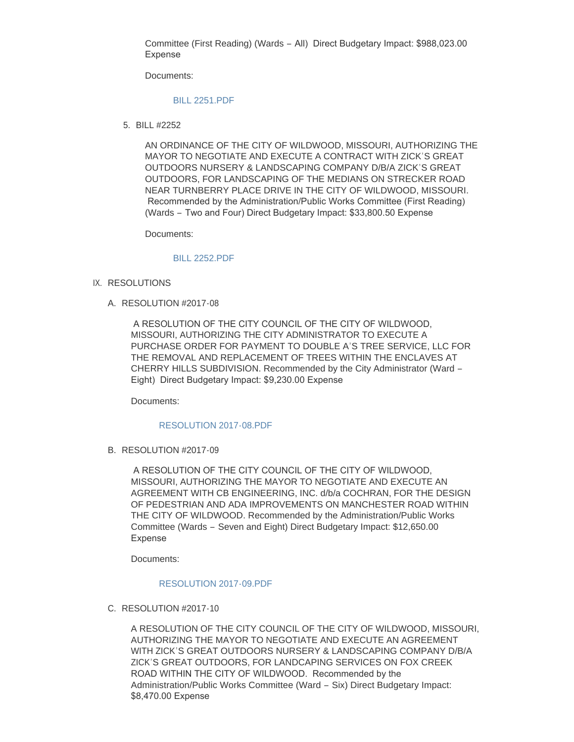Committee (First Reading) (Wards – All) Direct Budgetary Impact: \$988,023.00 Expense

Documents:

#### [BILL 2251.PDF](http://cityofwildwood.com/AgendaCenter/ViewFile/Item/10070?fileID=14418)

BILL #2252 5.

AN ORDINANCE OF THE CITY OF WILDWOOD, MISSOURI, AUTHORIZING THE MAYOR TO NEGOTIATE AND EXECUTE A CONTRACT WITH ZICK'S GREAT OUTDOORS NURSERY & LANDSCAPING COMPANY D/B/A ZICK'S GREAT OUTDOORS, FOR LANDSCAPING OF THE MEDIANS ON STRECKER ROAD NEAR TURNBERRY PLACE DRIVE IN THE CITY OF WILDWOOD, MISSOURI. Recommended by the Administration/Public Works Committee (First Reading) (Wards – Two and Four) Direct Budgetary Impact: \$33,800.50 Expense

Documents:

#### [BILL 2252.PDF](http://cityofwildwood.com/AgendaCenter/ViewFile/Item/10071?fileID=14419)

- IX. RESOLUTIONS
	- A. RESOLUTION #2017-08

 A RESOLUTION OF THE CITY COUNCIL OF THE CITY OF WILDWOOD, MISSOURI, AUTHORIZING THE CITY ADMINISTRATOR TO EXECUTE A PURCHASE ORDER FOR PAYMENT TO DOUBLE A'S TREE SERVICE, LLC FOR THE REMOVAL AND REPLACEMENT OF TREES WITHIN THE ENCLAVES AT CHERRY HILLS SUBDIVISION. Recommended by the City Administrator (Ward – Eight) Direct Budgetary Impact: \$9,230.00 Expense

Documents:

#### [RESOLUTION 2017-08.PDF](http://cityofwildwood.com/AgendaCenter/ViewFile/Item/10073?fileID=14420)

B. RESOLUTION #2017-09

 A RESOLUTION OF THE CITY COUNCIL OF THE CITY OF WILDWOOD, MISSOURI, AUTHORIZING THE MAYOR TO NEGOTIATE AND EXECUTE AN AGREEMENT WITH CB ENGINEERING, INC. d/b/a COCHRAN, FOR THE DESIGN OF PEDESTRIAN AND ADA IMPROVEMENTS ON MANCHESTER ROAD WITHIN THE CITY OF WILDWOOD. Recommended by the Administration/Public Works Committee (Wards – Seven and Eight) Direct Budgetary Impact: \$12,650.00 Expense

Documents:

#### [RESOLUTION 2017-09.PDF](http://cityofwildwood.com/AgendaCenter/ViewFile/Item/10074?fileID=14421)

C. RESOLUTION #2017-10

A RESOLUTION OF THE CITY COUNCIL OF THE CITY OF WILDWOOD, MISSOURI, AUTHORIZING THE MAYOR TO NEGOTIATE AND EXECUTE AN AGREEMENT WITH ZICK'S GREAT OUTDOORS NURSERY & LANDSCAPING COMPANY D/B/A ZICK'S GREAT OUTDOORS, FOR LANDCAPING SERVICES ON FOX CREEK ROAD WITHIN THE CITY OF WILDWOOD. Recommended by the Administration/Public Works Committee (Ward – Six) Direct Budgetary Impact: \$8,470.00 Expense